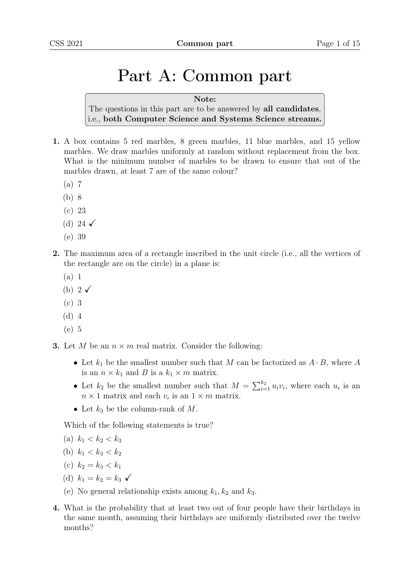# Part A: Common part

#### Note:

The questions in this part are to be answered by all candidates, i.e., both Computer Science and Systems Science streams.

- 1. A box contains 5 red marbles, 8 green marbles, 11 blue marbles, and 15 yellow marbles. We draw marbles uniformly at random without replacement from the box. What is the minimum number of marbles to be drawn to ensure that out of the marbles drawn, at least 7 are of the same colour?
	- (a) 7
	- (b) 8
	- (c) 23
	- (d) 24  $\checkmark$
	- (e) 39
- 2. The maximum area of a rectangle inscribed in the unit circle (i.e., all the vertices of the rectangle are on the circle) in a plane is:
	- (a) 1
	- (b)  $2\sqrt{ }$
	- (c) 3
	- (d) 4
	- (e) 5
- **3.** Let M be an  $n \times m$  real matrix. Consider the following:
	- Let  $k_1$  be the smallest number such that M can be factorized as  $A \cdot B$ , where A is an  $n \times k_1$  and B is a  $k_1 \times m$  matrix.
	- Let  $k_2$  be the smallest number such that  $M = \sum_{i=1}^{k_2} u_i v_i$ , where each  $u_i$  is an  $n \times 1$  matrix and each  $v_i$  is an  $1 \times m$  matrix.
	- Let  $k_3$  be the column-rank of M.

Which of the following statements is true?

- (a)  $k_1 < k_2 < k_3$
- (b)  $k_1 < k_3 < k_2$
- (c)  $k_2 = k_3 < k_1$
- (d)  $k_1 = k_2 = k_3 \checkmark$
- (e) No general relationship exists among  $k_1, k_2$  and  $k_3$ .
- 4. What is the probability that at least two out of four people have their birthdays in the same month, assuming their birthdays are uniformly distributed over the twelve months?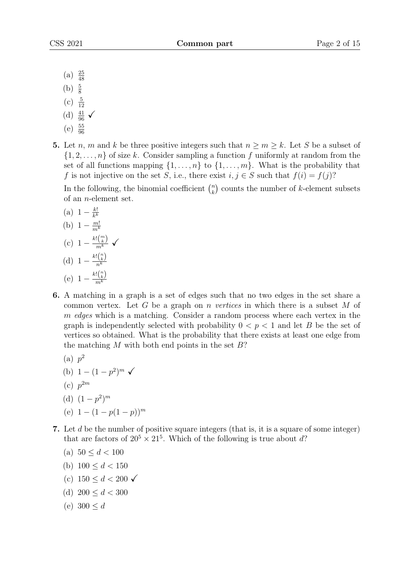- $(a) \frac{25}{48}$
- (b)  $\frac{5}{8}$
- $(c) \frac{5}{12}$
- (d)  $\frac{41}{96}$   $\checkmark$
- 
- $(e) \frac{55}{96}$
- 5. Let *n*, *m* and *k* be three positive integers such that  $n \ge m \ge k$ . Let *S* be a subset of  $\{1, 2, \ldots, n\}$  of size k. Consider sampling a function f uniformly at random from the set of all functions mapping  $\{1, \ldots, n\}$  to  $\{1, \ldots, m\}$ . What is the probability that f is not injective on the set S, i.e., there exist  $i, j \in S$  such that  $f(i) = f(j)$ ?

In the following, the binomial coefficient  $\binom{n}{k}$  $\binom{n}{k}$  counts the number of *k*-element subsets of an n-element set.

- (a)  $1 \frac{k!}{k^k}$  $\overline{k^k}$ (b)  $1 - \frac{m!}{m^k}$  $\overline{m^k}$ (c)  $1 - \frac{k! {m \choose k}}{m^k}$   $\checkmark$ (d)  $1 - \frac{k! {n \choose k}}{n^k}$  $n^k$ (e)  $1 - \frac{k! {n \choose k}}{m^k}$  $\overline{m^k}$
- 6. A matching in a graph is a set of edges such that no two edges in the set share a common vertex. Let G be a graph on n vertices in which there is a subset M of m edges which is a matching. Consider a random process where each vertex in the graph is independently selected with probability  $0 < p < 1$  and let B be the set of vertices so obtained. What is the probability that there exists at least one edge from the matching M with both end points in the set  $B$ ?
	- (a)  $p^2$
	- (b)  $1 (1 p^2)^m \checkmark$
	- $(c) p^{2m}$
	- (d)  $(1-p^2)^m$
	- (e)  $1 (1 p(1 p))^m$
- 7. Let d be the number of positive square integers (that is, it is a square of some integer) that are factors of  $20^5 \times 21^5$ . Which of the following is true about d?
	- (a)  $50 \le d < 100$
	- (b)  $100 \le d \le 150$
	- (c)  $150 \le d \le 200 \checkmark$
	- (d)  $200 \le d < 300$
	- (e)  $300 \le d$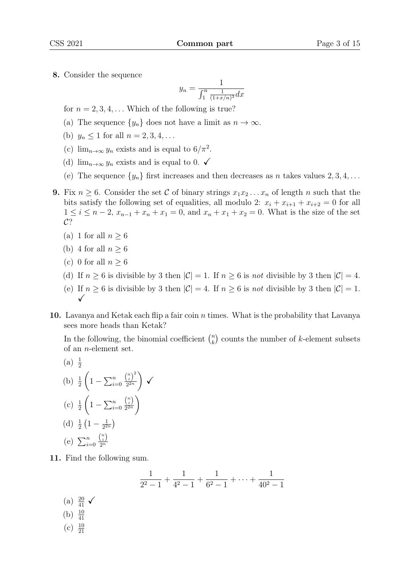8. Consider the sequence

$$
y_n = \frac{1}{\int_1^n \frac{1}{(1+x/n)^3} dx}
$$

for  $n = 2, 3, 4, \ldots$  Which of the following is true?

- (a) The sequence  $\{y_n\}$  does not have a limit as  $n \to \infty$ .
- (b)  $y_n \le 1$  for all  $n = 2, 3, 4, ...$
- (c)  $\lim_{n\to\infty} y_n$  exists and is equal to  $6/\pi^2$ .
- (d)  $\lim_{n\to\infty} y_n$  exists and is equal to 0.  $\checkmark$
- (e) The sequence  $\{y_n\}$  first increases and then decreases as n takes values  $2, 3, 4, \ldots$
- 9. Fix  $n \geq 6$ . Consider the set C of binary strings  $x_1x_2...x_n$  of length n such that the bits satisfy the following set of equalities, all modulo 2:  $x_i + x_{i+1} + x_{i+2} = 0$  for all  $1 \leq i \leq n-2$ ,  $x_{n-1} + x_n + x_1 = 0$ , and  $x_n + x_1 + x_2 = 0$ . What is the size of the set  $C$ ?
	- (a) 1 for all  $n \geq 6$
	- (b) 4 for all  $n \geq 6$
	- (c) 0 for all  $n \geq 6$
	- (d) If  $n \geq 6$  is divisible by 3 then  $|\mathcal{C}| = 1$ . If  $n \geq 6$  is not divisible by 3 then  $|\mathcal{C}| = 4$ .
	- (e) If  $n \geq 6$  is divisible by 3 then  $|\mathcal{C}| = 4$ . If  $n \geq 6$  is not divisible by 3 then  $|\mathcal{C}| = 1$ .  $\checkmark$
- 10. Lavanya and Ketak each flip a fair coin  $n$  times. What is the probability that Lavanya sees more heads than Ketak?

In the following, the binomial coefficient  $\binom{n}{k}$  $\binom{n}{k}$  counts the number of *k*-element subsets of an n-element set.

(a) 
$$
\frac{1}{2}
$$
  
\n(b)  $\frac{1}{2} \left( 1 - \sum_{i=0}^{n} \frac{\binom{n}{i}^2}{2^{2n}} \right) \checkmark$   
\n(c)  $\frac{1}{2} \left( 1 - \sum_{i=0}^{n} \frac{\binom{n}{i}}{2^{2n}} \right)$   
\n(d)  $\frac{1}{2} \left( 1 - \frac{1}{2^{2n}} \right)$   
\n(e)  $\sum_{i=0}^{n} \frac{\binom{n}{i}}{2^{2n}}$ 

11. Find the following sum.

 $($ 

$$
\frac{1}{2^2 - 1} + \frac{1}{4^2 - 1} + \frac{1}{6^2 - 1} + \dots + \frac{1}{40^2 - 1}
$$
\n(a)  $\frac{20}{41}$ \n(b)  $\frac{10}{41}$ \n(c)  $\frac{10}{21}$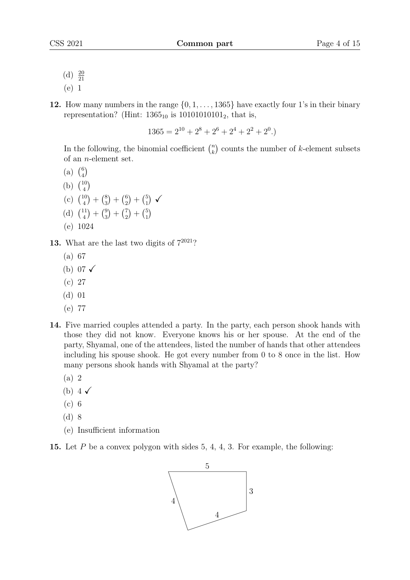- (d)  $\frac{20}{21}$
- (e) 1
- 12. How many numbers in the range  $\{0, 1, \ldots, 1365\}$  have exactly four 1's in their binary representation? (Hint:  $1365_{10}$  is  $10101010101_2$ , that is,

 $1365 = 2^{10} + 2^8 + 2^6 + 2^4 + 2^2 + 2^0.$ 

In the following, the binomial coefficient  $\binom{n}{k}$  $\binom{n}{k}$  counts the number of *k*-element subsets of an n-element set.

- (a)  $\binom{6}{4}$  $\binom{6}{4}$
- (b)  $\binom{10}{4}$  $\binom{10}{4}$
- (c)  $\binom{10}{4}$  $\binom{10}{4} + \binom{8}{3}$  $\binom{8}{3} + \binom{6}{2}$  $\binom{6}{2} + \binom{5}{1}$  $\binom{5}{1}$   $\checkmark$
- (d)  $\binom{11}{4}$  $\binom{11}{4} + \binom{9}{3}$  $\binom{9}{3} + \binom{7}{2}$  $\binom{7}{2} + \binom{5}{1}$  $\binom{5}{1}$
- (e) 1024
- **13.** What are the last two digits of  $7^{2021}$ ?
	- (a) 67
	- (b) 07  $\checkmark$
	- (c) 27
	- (d) 01
	- (e) 77
- 14. Five married couples attended a party. In the party, each person shook hands with those they did not know. Everyone knows his or her spouse. At the end of the party, Shyamal, one of the attendees, listed the number of hands that other attendees including his spouse shook. He got every number from 0 to 8 once in the list. How many persons shook hands with Shyamal at the party?
	- (a) 2
	- (b)  $4\sqrt{ }$
	- (c) 6
	- (d) 8
	- (e) Insufficient information

15. Let P be a convex polygon with sides 5, 4, 4, 3. For example, the following:

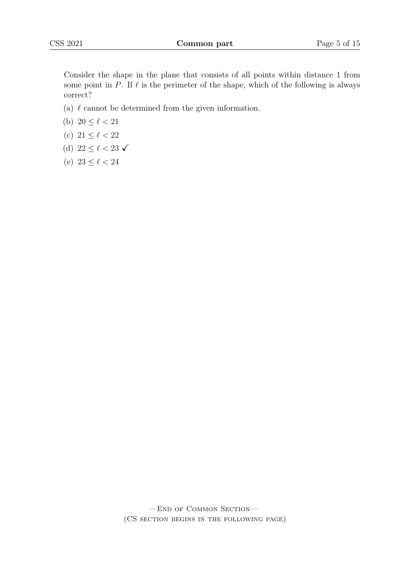Consider the shape in the plane that consists of all points within distance 1 from some point in P. If  $\ell$  is the perimeter of the shape, which of the following is always correct?

- (a)  $\ell$  cannot be determined from the given information.
- (b)  $20 \le \ell < 21$
- (c)  $21 \le \ell < 22$
- (d)  $22 \le \ell < 23 \checkmark$
- (e)  $23 \le \ell < 24$

—End of Common Section— (CS section begins in the following page)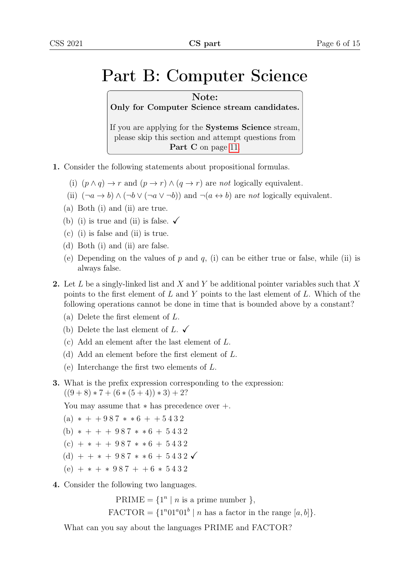### Part B: Computer Science

Note: Only for Computer Science stream candidates. If you are applying for the Systems Science stream, please skip this section and attempt questions from

Part C on page [11.](#page-9-0)

- 1. Consider the following statements about propositional formulas.
	- (i)  $(p \wedge q) \rightarrow r$  and  $(p \rightarrow r) \wedge (q \rightarrow r)$  are not logically equivalent.
	- (ii)  $(\neg a \rightarrow b) \land (\neg b \lor (\neg a \lor \neg b))$  and  $\neg (a \leftrightarrow b)$  are not logically equivalent.
	- (a) Both (i) and (ii) are true.
	- (b) (i) is true and (ii) is false.  $\checkmark$
	- (c) (i) is false and (ii) is true.
	- (d) Both (i) and (ii) are false.
	- (e) Depending on the values of p and q, (i) can be either true or false, while (ii) is always false.
- 2. Let L be a singly-linked list and X and Y be additional pointer variables such that X points to the first element of  $L$  and  $Y$  points to the last element of  $L$ . Which of the following operations cannot be done in time that is bounded above by a constant?
	- (a) Delete the first element of L.
	- (b) Delete the last element of L.  $\checkmark$
	- (c) Add an element after the last element of L.
	- (d) Add an element before the first element of L.
	- (e) Interchange the first two elements of L.
- 3. What is the prefix expression corresponding to the expression:  $((9 + 8) * 7 + (6 * (5 + 4)) * 3) + 2?$

You may assume that ∗ has precedence over +.

```
(a) * + + 987 * * 6 + + 5432
```
- (b)  $* + + + 987 * * 6 + 5432$
- $(c)$  + \* + + 987 \* \* 6 + 5432
- (d) + +  $*$  + 987  $*$   $*$  6 + 5432  $\checkmark$
- $(e)$  + \* + \* 987 + + 6 \* 5432
- 4. Consider the following two languages.

PRIME =  $\{1^n \mid n \text{ is a prime number } \}$ ,  $\text{FACTOR} = \{1^n 01^a 01^b \mid n \text{ has a factor in the range } [a, b] \}.$ 

What can you say about the languages PRIME and FACTOR?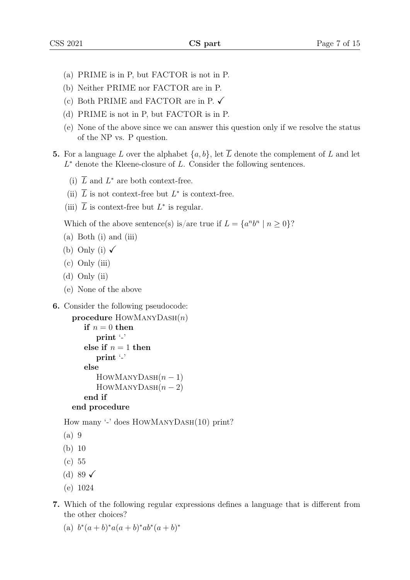- (a) PRIME is in P, but FACTOR is not in P.
- (b) Neither PRIME nor FACTOR are in P.
- (c) Both PRIME and FACTOR are in P.  $\checkmark$
- (d) PRIME is not in P, but FACTOR is in P.
- (e) None of the above since we can answer this question only if we resolve the status of the NP vs. P question.
- 5. For a language L over the alphabet  $\{a, b\}$ , let  $\overline{L}$  denote the complement of L and let  $L^*$  denote the Kleene-closure of  $L$ . Consider the following sentences.
	- (i)  $\overline{L}$  and  $L^*$  are both context-free.
	- (ii)  $\overline{L}$  is not context-free but  $L^*$  is context-free.
	- (iii)  $\overline{L}$  is context-free but  $L^*$  is regular.

Which of the above sentence(s) is/are true if  $L = \{a^n b^n \mid n \ge 0\}$ ?

- (a) Both (i) and (iii)
- (b) Only (i)  $\checkmark$
- (c) Only (iii)
- (d) Only (ii)
- (e) None of the above
- 6. Consider the following pseudocode:

```
procedure HowMANYDASH(n)if n = 0 then
     print '-'
  else if n = 1 then
     print '-'
  else
     HowMANYDASH(n-1)HowMANYDASH(n-2)end if
end procedure
```
How many '-' does HowManyDash(10) print?

- (a) 9
- (b) 10
- (c) 55
- (d) 89  $\checkmark$
- (e) 1024
- 7. Which of the following regular expressions defines a language that is different from the other choices?
	- (a)  $b^*(a+b)^*a(a+b)^*ab^*(a+b)^*$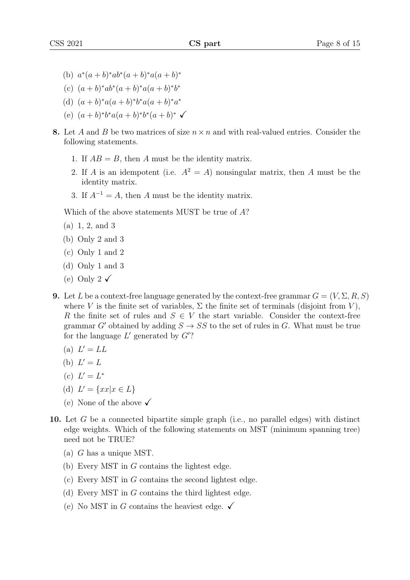- (b)  $a^*(a+b)^*ab^*(a+b)^*a(a+b)^*$
- (c)  $(a + b)^*ab^*(a + b)^*a(a + b)^*b^*$
- (d)  $(a + b)^* a (a + b)^* b^* a (a + b)^* a^*$
- (e)  $(a + b)^* b^* a (a + b)^* b^* (a + b)^*$
- 8. Let A and B be two matrices of size  $n \times n$  and with real-valued entries. Consider the following statements.
	- 1. If  $AB = B$ , then A must be the identity matrix.
	- 2. If A is an idempotent (i.e.  $A^2 = A$ ) nonsingular matrix, then A must be the identity matrix.
	- 3. If  $A^{-1} = A$ , then A must be the identity matrix.

Which of the above statements MUST be true of A?

- (a) 1, 2, and 3
- (b) Only 2 and 3
- (c) Only 1 and 2
- (d) Only 1 and 3
- (e) Only 2  $\checkmark$
- 9. Let L be a context-free language generated by the context-free grammar  $G = (V, \Sigma, R, S)$ where V is the finite set of variables,  $\Sigma$  the finite set of terminals (disjoint from V), R the finite set of rules and  $S \in V$  the start variable. Consider the context-free grammar G' obtained by adding  $S \to SS$  to the set of rules in G. What must be true for the language  $L'$  generated by  $G$ ?
	- (a)  $L' = LL$
	- (b)  $L' = L$
	- (c)  $L' = L^*$
	- (d)  $L' = \{xx | x \in L\}$
	- (e) None of the above  $\checkmark$
- 10. Let G be a connected bipartite simple graph (i.e., no parallel edges) with distinct edge weights. Which of the following statements on MST (minimum spanning tree) need not be TRUE?
	- (a) G has a unique MST.
	- (b) Every MST in G contains the lightest edge.
	- (c) Every MST in G contains the second lightest edge.
	- (d) Every MST in G contains the third lightest edge.
	- (e) No MST in G contains the heaviest edge.  $\checkmark$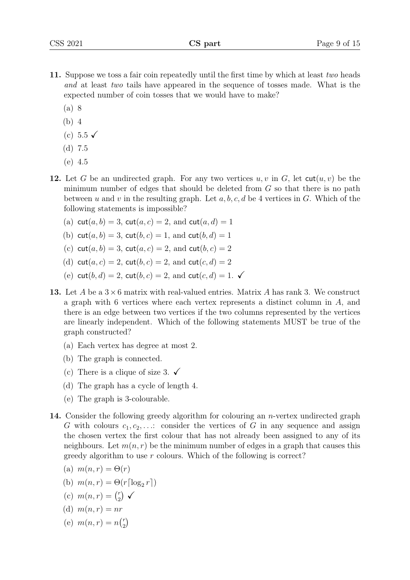- 11. Suppose we toss a fair coin repeatedly until the first time by which at least two heads and at least two tails have appeared in the sequence of tosses made. What is the expected number of coin tosses that we would have to make?
	- (a) 8
	- (b) 4
	- (c) 5.5  $\checkmark$
	- (d) 7.5
	- (e) 4.5
- 12. Let G be an undirected graph. For any two vertices  $u, v$  in G, let  $\text{cut}(u, v)$  be the minimum number of edges that should be deleted from  $G$  so that there is no path between u and v in the resulting graph. Let  $a, b, c, d$  be 4 vertices in G. Which of the following statements is impossible?
	- (a)  $\text{cut}(a, b) = 3$ ,  $\text{cut}(a, c) = 2$ , and  $\text{cut}(a, d) = 1$
	- (b) cut(a, b) = 3, cut(b, c) = 1, and cut(b, d) = 1
	- (c)  $\cot(a, b) = 3$ ,  $\cot(a, c) = 2$ , and  $\cot(b, c) = 2$
	- (d) cut(a, c) = 2, cut(b, c) = 2, and cut(c, d) = 2
	- (e) cut(b, d) = 2, cut(b, c) = 2, and cut(c, d) = 1.  $\checkmark$
- 13. Let A be a  $3 \times 6$  matrix with real-valued entries. Matrix A has rank 3. We construct a graph with 6 vertices where each vertex represents a distinct column in A, and there is an edge between two vertices if the two columns represented by the vertices are linearly independent. Which of the following statements MUST be true of the graph constructed?
	- (a) Each vertex has degree at most 2.
	- (b) The graph is connected.
	- (c) There is a clique of size 3.  $\checkmark$
	- (d) The graph has a cycle of length 4.
	- (e) The graph is 3-colourable.
- 14. Consider the following greedy algorithm for colouring an *n*-vertex undirected graph G with colours  $c_1, c_2, \ldots$ : consider the vertices of G in any sequence and assign the chosen vertex the first colour that has not already been assigned to any of its neighbours. Let  $m(n, r)$  be the minimum number of edges in a graph that causes this greedy algorithm to use  $r$  colours. Which of the following is correct?
	- (a)  $m(n,r) = \Theta(r)$
	- (b)  $m(n,r) = \Theta(r \lceil \log_2 r \rceil)$
	- (c)  $m(n,r) = \binom{r}{2}$  $\binom{r}{2}$   $\checkmark$
	- (d)  $m(n, r) = nr$
	- (e)  $m(n,r) = n\binom{r}{2}$  $\binom{r}{2}$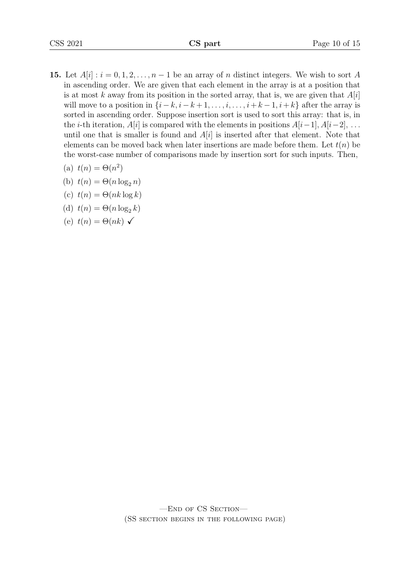15. Let  $A[i]$ :  $i = 0, 1, 2, \ldots, n-1$  be an array of n distinct integers. We wish to sort A in ascending order. We are given that each element in the array is at a position that is at most k away from its position in the sorted array, that is, we are given that  $A[i]$ will move to a position in  $\{i-k, i-k+1, \ldots, i, \ldots, i+k-1, i+k\}$  after the array is sorted in ascending order. Suppose insertion sort is used to sort this array: that is, in the *i*-th iteration,  $A[i]$  is compared with the elements in positions  $A[i-1], A[i-2], \ldots$ until one that is smaller is found and  $A[i]$  is inserted after that element. Note that elements can be moved back when later insertions are made before them. Let  $t(n)$  be the worst-case number of comparisons made by insertion sort for such inputs. Then,

(a) 
$$
t(n) = \Theta(n^2)
$$

- (b)  $t(n) = \Theta(n \log_2 n)$
- (c)  $t(n) = \Theta(nk \log k)$
- (d)  $t(n) = \Theta(n \log_2 k)$
- <span id="page-9-0"></span>(e)  $t(n) = \Theta(nk) \checkmark$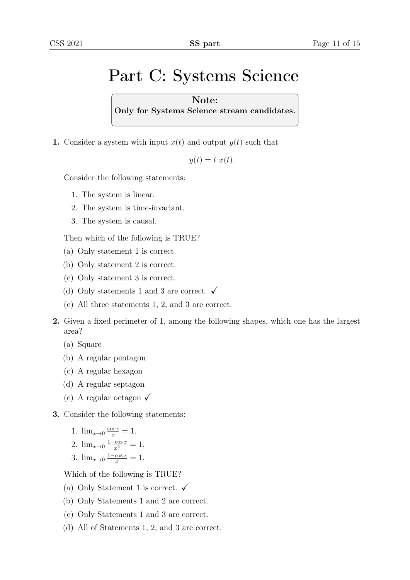## Part C: Systems Science

Note: Only for Systems Science stream candidates.

1. Consider a system with input  $x(t)$  and output  $y(t)$  such that

 $y(t) = t x(t)$ .

Consider the following statements:

- 1. The system is linear.
- 2. The system is time-invariant.
- 3. The system is causal.

Then which of the following is TRUE?

- (a) Only statement 1 is correct.
- (b) Only statement 2 is correct.
- (c) Only statement 3 is correct.
- (d) Only statements 1 and 3 are correct.  $\checkmark$
- (e) All three statements 1, 2, and 3 are correct.
- 2. Given a fixed perimeter of 1, among the following shapes, which one has the largest area?
	- (a) Square
	- (b) A regular pentagon
	- (c) A regular hexagon
	- (d) A regular septagon
	- (e) A regular octagon  $\checkmark$
- 3. Consider the following statements:
	- 1.  $\lim_{x\to 0} \frac{\sin x}{x} = 1$ .
	- 2.  $\lim_{x\to 0} \frac{1-\cos x}{x^2} = 1$ .
	- 3.  $\lim_{x\to 0} \frac{1-\cos x}{x} = 1$ .

Which of the following is TRUE?

- (a) Only Statement 1 is correct.  $\checkmark$
- (b) Only Statements 1 and 2 are correct.
- (c) Only Statements 1 and 3 are correct.
- (d) All of Statements 1, 2, and 3 are correct.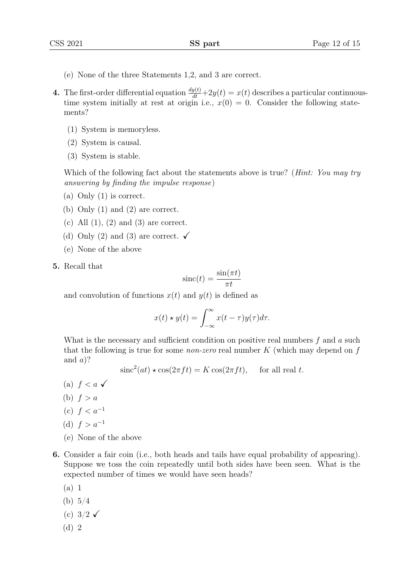- (e) None of the three Statements 1,2, and 3 are correct.
- **4.** The first-order differential equation  $\frac{dy(t)}{dt} + 2y(t) = x(t)$  describes a particular continuoustime system initially at rest at origin i.e.,  $x(0) = 0$ . Consider the following statements?
	- (1) System is memoryless.
	- (2) System is causal.
	- (3) System is stable.

Which of the following fact about the statements above is true? (*Hint: You may try* answering by finding the impulse response)

- (a) Only (1) is correct.
- (b) Only (1) and (2) are correct.
- (c) All  $(1)$ ,  $(2)$  and  $(3)$  are correct.
- (d) Only (2) and (3) are correct.  $\checkmark$
- (e) None of the above
- 5. Recall that

$$
\operatorname{sinc}(t) = \frac{\sin(\pi t)}{\pi t}
$$

and convolution of functions  $x(t)$  and  $y(t)$  is defined as

$$
x(t) \star y(t) = \int_{-\infty}^{\infty} x(t - \tau) y(\tau) d\tau.
$$

What is the necessary and sufficient condition on positive real numbers  $f$  and  $a$  such that the following is true for some *non-zero* real number  $K$  (which may depend on  $f$ and  $a$ ?

$$
\operatorname{sinc}^2(at) \star \cos(2\pi ft) = K \cos(2\pi ft), \quad \text{for all real } t.
$$

- (a)  $f < a \checkmark$
- (b)  $f > a$
- (c)  $f < a^{-1}$
- (d)  $f > a^{-1}$
- (e) None of the above
- 6. Consider a fair coin (i.e., both heads and tails have equal probability of appearing). Suppose we toss the coin repeatedly until both sides have been seen. What is the expected number of times we would have seen heads?
	- (a) 1
	- (b) 5/4
	- (c)  $3/2 \checkmark$
	- (d) 2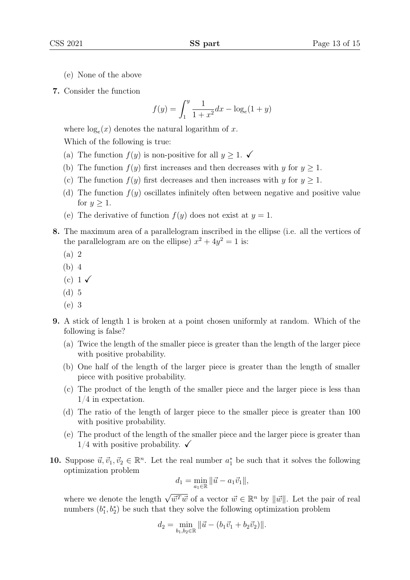- (e) None of the above
- 7. Consider the function

$$
f(y) = \int_{1}^{y} \frac{1}{1+x^2} dx - \log_e(1+y)
$$

where  $log_e(x)$  denotes the natural logarithm of x.

Which of the following is true:

- (a) The function  $f(y)$  is non-positive for all  $y \geq 1$ .
- (b) The function  $f(y)$  first increases and then decreases with y for  $y \geq 1$ .
- (c) The function  $f(y)$  first decreases and then increases with y for  $y \geq 1$ .
- (d) The function  $f(y)$  oscillates infinitely often between negative and positive value for  $y \geq 1$ .
- (e) The derivative of function  $f(y)$  does not exist at  $y = 1$ .
- 8. The maximum area of a parallelogram inscribed in the ellipse (i.e. all the vertices of the parallelogram are on the ellipse)  $x^2 + 4y^2 = 1$  is:
	- (a) 2
	- (b) 4
	- $(c)$  1  $\checkmark$
	- (d) 5
	- (e) 3
- 9. A stick of length 1 is broken at a point chosen uniformly at random. Which of the following is false?
	- (a) Twice the length of the smaller piece is greater than the length of the larger piece with positive probability.
	- (b) One half of the length of the larger piece is greater than the length of smaller piece with positive probability.
	- (c) The product of the length of the smaller piece and the larger piece is less than 1/4 in expectation.
	- (d) The ratio of the length of larger piece to the smaller piece is greater than 100 with positive probability.
	- (e) The product of the length of the smaller piece and the larger piece is greater than  $1/4$  with positive probability.  $\checkmark$
- 10. Suppose  $\vec{u}, \vec{v}_1, \vec{v}_2 \in \mathbb{R}^n$ . Let the real number  $a_1^*$  be such that it solves the following optimization problem

$$
d_1 = \min_{a_1 \in \mathbb{R}} ||\vec{u} - a_1 \vec{v}_1||,
$$

where we denote the length  $\sqrt{\vec{w}^T\vec{w}}$  of a vector  $\vec{w} \in \mathbb{R}^n$  by  $\|\vec{w}\|$ . Let the pair of real numbers  $(b_1^*, b_2^*)$  be such that they solve the following optimization problem

$$
d_2 = \min_{b_1, b_2 \in \mathbb{R}} ||\vec{u} - (b_1\vec{v}_1 + b_2\vec{v}_2)||.
$$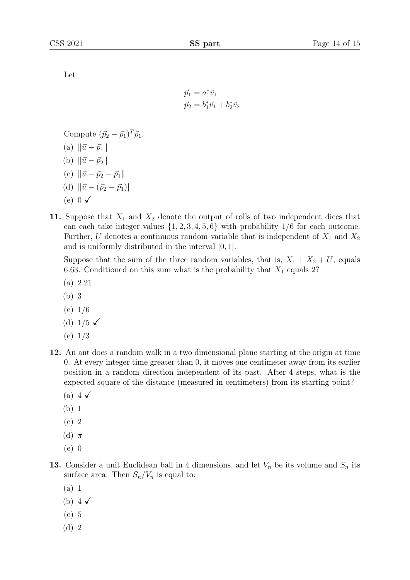Let

$$
\vec{p}_1 = a_1^* \vec{v}_1 \n\vec{p}_2 = b_1^* \vec{v}_1 + b_2^* \vec{v}_2
$$

Compute  $(\vec{p}_2 - \vec{p}_1)^T \vec{p}_1$ .

- (a)  $\|\vec{u} \vec{p}_1\|$
- (b)  $\|\vec{u} \vec{p}_2\|$
- (c)  $\|\vec{u} \vec{p}_2 \vec{p}_1\|$
- (d)  $\|\vec{u} (\vec{p}_2 \vec{p}_1)\|$
- (e)  $0 \checkmark$
- 11. Suppose that  $X_1$  and  $X_2$  denote the output of rolls of two independent dices that can each take integer values  $\{1, 2, 3, 4, 5, 6\}$  with probability  $1/6$  for each outcome. Further, U denotes a continuous random variable that is independent of  $X_1$  and  $X_2$ and is uniformly distributed in the interval [0, 1].

Suppose that the sum of the three random variables, that is,  $X_1 + X_2 + U$ , equals 6.63. Conditioned on this sum what is the probability that  $X_1$  equals 2?

- (a) 2.21
- (b) 3
- $(c) 1/6$
- (d)  $1/5 \checkmark$
- (e) 1/3
- 12. An ant does a random walk in a two dimensional plane starting at the origin at time 0. At every integer time greater than 0, it moves one centimeter away from its earlier position in a random direction independent of its past. After 4 steps, what is the expected square of the distance (measured in centimeters) from its starting point?
	- (a) 4  $\checkmark$
	- (b) 1
	- (c) 2
	- (d)  $\pi$
	- (e) 0
- 13. Consider a unit Euclidean ball in 4 dimensions, and let  $V_n$  be its volume and  $S_n$  its surface area. Then  $S_n/V_n$  is equal to:
	- (a) 1
	- (b)  $4\sqrt{ }$
	- (c) 5
	- (d) 2